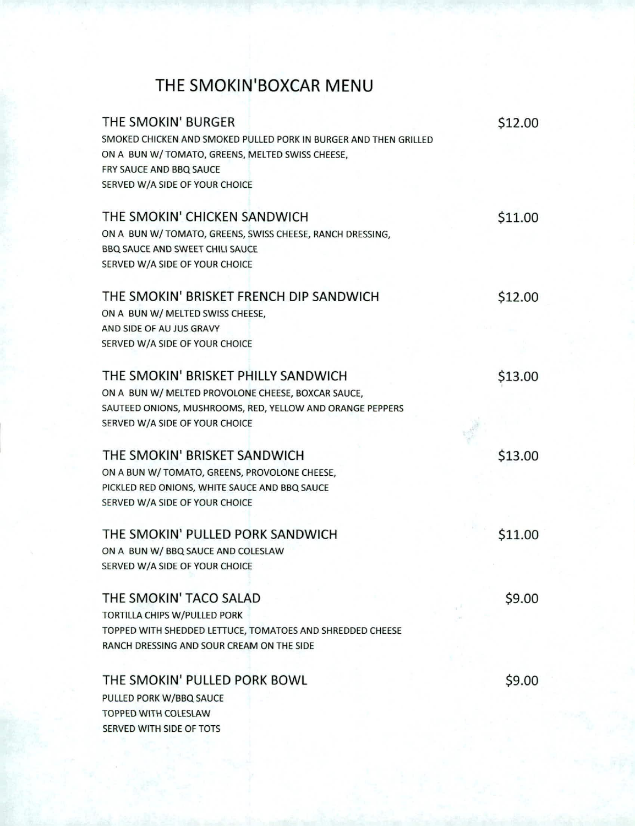## **THE SMOKIN'BOXCAR MENU**

| THE SMOKIN' BURGER                                               | \$12.00 |
|------------------------------------------------------------------|---------|
| SMOKED CHICKEN AND SMOKED PULLED PORK IN BURGER AND THEN GRILLED |         |
| ON A BUN W/TOMATO, GREENS, MELTED SWISS CHEESE,                  |         |
| FRY SAUCE AND BBQ SAUCE                                          |         |
| SERVED W/A SIDE OF YOUR CHOICE                                   |         |
|                                                                  |         |
| THE SMOKIN' CHICKEN SANDWICH                                     | \$11.00 |
| ON A BUN W/ TOMATO, GREENS, SWISS CHEESE, RANCH DRESSING,        |         |
| <b>BBO SAUCE AND SWEET CHILI SAUCE</b>                           |         |
| SERVED W/A SIDE OF YOUR CHOICE                                   |         |
| THE SMOKIN' BRISKET FRENCH DIP SANDWICH                          | \$12.00 |
| ON A BUN W/ MELTED SWISS CHEESE,                                 |         |
| AND SIDE OF AU JUS GRAVY                                         |         |
| SERVED W/A SIDE OF YOUR CHOICE                                   |         |
| THE SMOKIN' BRISKET PHILLY SANDWICH                              | \$13.00 |
| ON A BUN W/ MELTED PROVOLONE CHEESE, BOXCAR SAUCE,               |         |
| SAUTEED ONIONS, MUSHROOMS, RED, YELLOW AND ORANGE PEPPERS        |         |
| SERVED W/A SIDE OF YOUR CHOICE                                   |         |
|                                                                  |         |
| THE SMOKIN' BRISKET SANDWICH                                     | \$13.00 |
| ON A BUN W/ TOMATO, GREENS, PROVOLONE CHEESE,                    |         |
| PICKLED RED ONIONS, WHITE SAUCE AND BBQ SAUCE                    |         |
| SERVED W/A SIDE OF YOUR CHOICE                                   |         |
| THE SMOKIN' PULLED PORK SANDWICH                                 | \$11.00 |
| ON A BUN W/ BBQ SAUCE AND COLESLAW                               |         |
| SERVED W/A SIDE OF YOUR CHOICE                                   |         |
|                                                                  |         |
| THE SMOKIN' TACO SALAD                                           | \$9.00  |
| TORTILLA CHIPS W/PULLED PORK                                     |         |
| TOPPED WITH SHEDDED LETTUCE, TOMATOES AND SHREDDED CHEESE        |         |
| RANCH DRESSING AND SOUR CREAM ON THE SIDE                        |         |
| THE SMOKIN' PULLED PORK BOWL                                     | \$9.00  |
| PULLED PORK W/BBQ SAUCE                                          |         |
| <b>TOPPED WITH COLESLAW</b>                                      |         |
| SERVED WITH SIDE OF TOTS                                         |         |